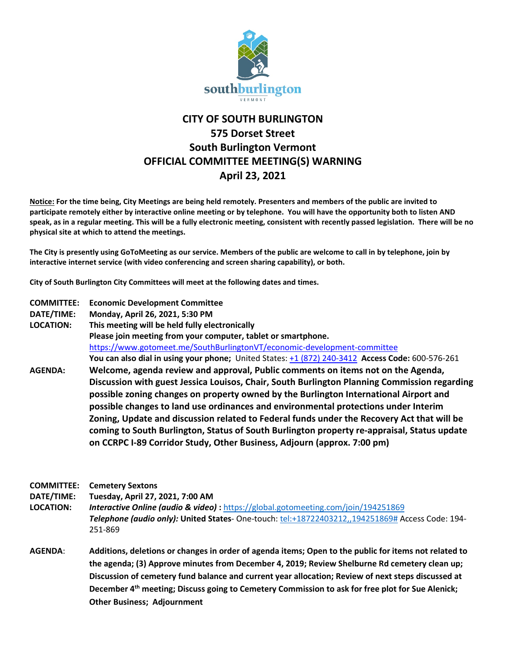

## **CITY OF SOUTH BURLINGTON 575 Dorset Street South Burlington Vermont OFFICIAL COMMITTEE MEETING(S) WARNING April 23, 2021**

**Notice: For the time being, City Meetings are being held remotely. Presenters and members of the public are invited to participate remotely either by interactive online meeting or by telephone. You will have the opportunity both to listen AND speak, as in a regular meeting. This will be a fully electronic meeting, consistent with recently passed legislation. There will be no physical site at which to attend the meetings.** 

**The City is presently using GoToMeeting as our service. Members of the public are welcome to call in by telephone, join by interactive internet service (with video conferencing and screen sharing capability), or both.**

**City of South Burlington City Committees will meet at the following dates and times.** 

- **COMMITTEE: Economic Development Committee**
- **DATE/TIME: Monday, April 26, 2021, 5:30 PM**

**LOCATION: This meeting will be held fully electronically Please join meeting from your computer, tablet or smartphone.**  <https://www.gotomeet.me/SouthBurlingtonVT/economic-development-committee> **You can also dial in using your phone;** United States[: +1 \(872\) 240-3412](tel:+18722403412,,600576261) **Access Code:** 600-576-261 **AGENDA: Welcome, agenda review and approval, Public comments on items not on the Agenda, Discussion with guest Jessica Louisos, Chair, South Burlington Planning Commission regarding possible zoning changes on property owned by the Burlington International Airport and possible changes to land use ordinances and environmental protections under Interim Zoning, Update and discussion related to Federal funds under the Recovery Act that will be coming to South Burlington, Status of South Burlington property re-appraisal, Status update on CCRPC I-89 Corridor Study, Other Business, Adjourn (approx. 7:00 pm)**

**COMMITTEE: Cemetery Sextons**

**DATE/TIME: Tuesday, April 27, 2021, 7:00 AM**

**LOCATION:** *Interactive Online (audio & video)* **:** <https://global.gotomeeting.com/join/194251869> *Telephone (audio only):* **United States**- One-touch: [tel:+18722403212,,194251869#](tel:+18722403212,,194251869) Access Code: 194- 251-869

**AGENDA**: **Additions, deletions or changes in order of agenda items; Open to the public for items not related to the agenda; (3) Approve minutes from December 4, 2019; Review Shelburne Rd cemetery clean up; Discussion of cemetery fund balance and current year allocation; Review of next steps discussed at December 4th meeting; Discuss going to Cemetery Commission to ask for free plot for Sue Alenick; Other Business; Adjournment**